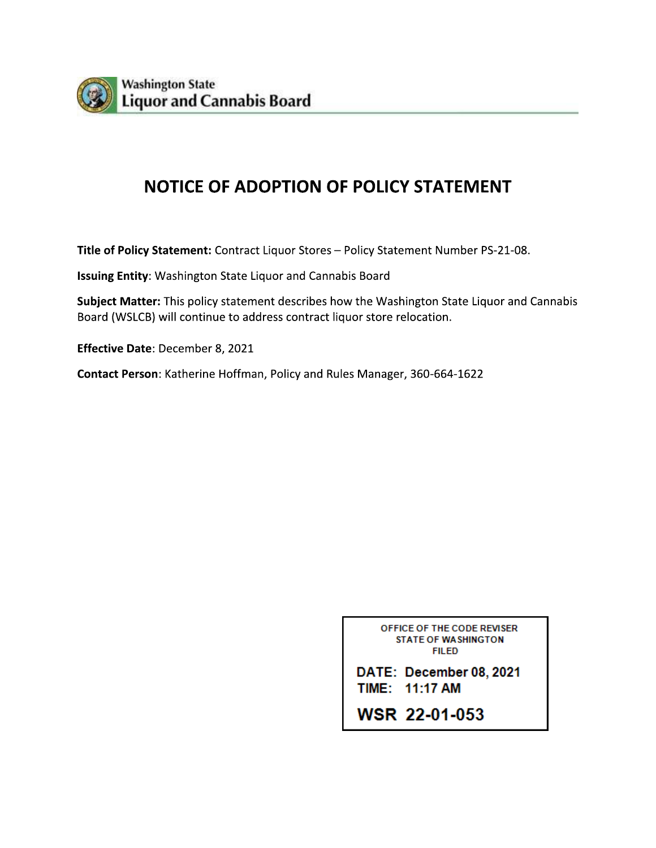

## **NOTICE OF ADOPTION OF POLICY STATEMENT**

Title of Policy Statement: Contract Liquor Stores - Policy Statement Number PS-21-08.

Issuing Entity: Washington State Liquor and Cannabis Board

Subject Matter: This policy statement describes how the Washington State Liquor and Cannabis Board (WSLCB) will continue to address contract liquor store relocation.

Effective Date: December 8, 2021

Contact Person: Katherine Hoffman, Policy and Rules Manager, 360-664-1622

OFFICE OF THE CODE REVISER **STATE OF WASHINGTON FILED** 

DATE: December 08, 2021 TIME: 11:17 AM

**WSR 22-01-053**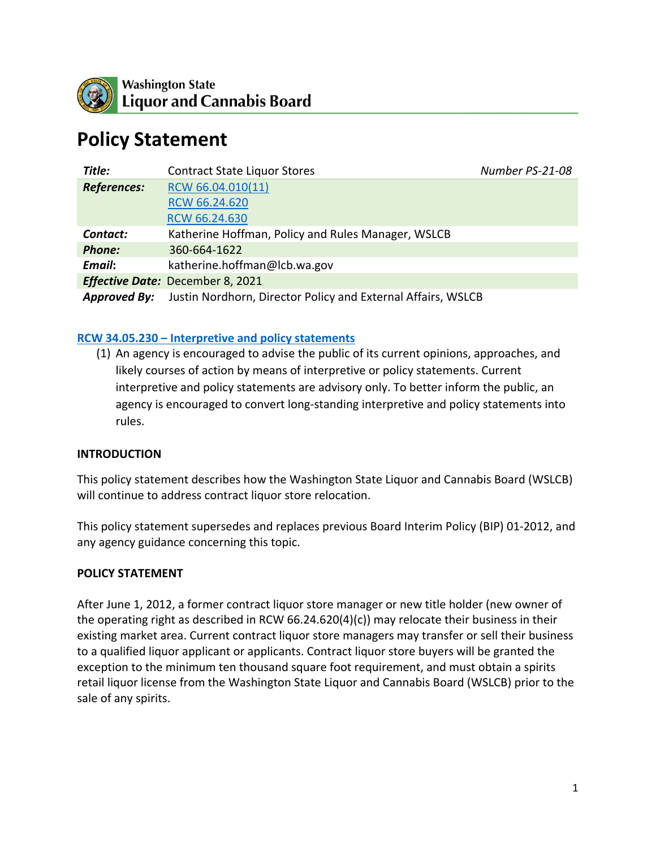

# **Policy Statement**

| Title:              | <b>Contract State Liquor Stores</b>                          | Number PS-21-08 |
|---------------------|--------------------------------------------------------------|-----------------|
| <b>References:</b>  | RCW 66.04.010(11)                                            |                 |
|                     | RCW 66.24.620                                                |                 |
|                     | RCW 66.24.630                                                |                 |
| Contact:            | Katherine Hoffman, Policy and Rules Manager, WSLCB           |                 |
| <b>Phone:</b>       | 360-664-1622                                                 |                 |
| Email:              | katherine.hoffman@lcb.wa.gov                                 |                 |
|                     | <b>Effective Date: December 8, 2021</b>                      |                 |
| <b>Approved By:</b> | Justin Nordhorn, Director Policy and External Affairs, WSLCB |                 |

#### **RCW 34.05.230 – [Interpretive and policy statements](https://app.leg.wa.gov/rcw/default.aspx?cite=34.05.230)**

(1) An agency is encouraged to advise the public of its current opinions, approaches, and likely courses of action by means of interpretive or policy statements. Current interpretive and policy statements are advisory only. To better inform the public, an agency is encouraged to convert long-standing interpretive and policy statements into rules.

#### **INTRODUCTION**

This policy statement describes how the Washington State Liquor and Cannabis Board (WSLCB) will continue to address contract liquor store relocation.

This policy statement supersedes and replaces previous Board Interim Policy (BIP) 01-2012, and any agency guidance concerning this topic.

#### **POLICY STATEMENT**

After June 1, 2012, a former contract liquor store manager or new title holder (new owner of the operating right as described in RCW  $66.24.620(4)(c)$  may relocate their business in their existing market area. Current contract liquor store managers may transfer or sell their business to a qualified liquor applicant or applicants. Contract liquor store buyers will be granted the exception to the minimum ten thousand square foot requirement, and must obtain a spirits retail liquor license from the Washington State Liquor and Cannabis Board (WSLCB) prior to the sale of any spirits.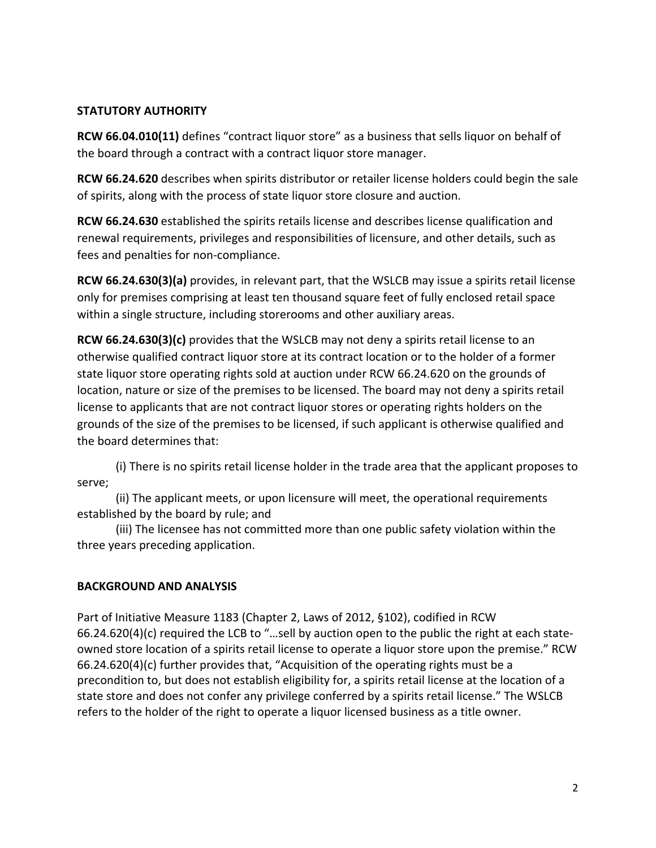#### **STATUTORY AUTHORITY**

**RCW 66.04.010(11)** defines "contract liquor store" as a business that sells liquor on behalf of the board through a contract with a contract liquor store manager.

**RCW 66.24.620** describes when spirits distributor or retailer license holders could begin the sale of spirits, along with the process of state liquor store closure and auction.

**RCW 66.24.630** established the spirits retails license and describes license qualification and renewal requirements, privileges and responsibilities of licensure, and other details, such as fees and penalties for non-compliance.

**RCW 66.24.630(3)(a)** provides, in relevant part, that the WSLCB may issue a spirits retail license only for premises comprising at least ten thousand square feet of fully enclosed retail space within a single structure, including storerooms and other auxiliary areas.

**RCW 66.24.630(3)(c)** provides that the WSLCB may not deny a spirits retail license to an otherwise qualified contract liquor store at its contract location or to the holder of a former state liquor store operating rights sold at auction under RCW 66.24.620 on the grounds of location, nature or size of the premises to be licensed. The board may not deny a spirits retail license to applicants that are not contract liquor stores or operating rights holders on the grounds of the size of the premises to be licensed, if such applicant is otherwise qualified and the board determines that:

(i) There is no spirits retail license holder in the trade area that the applicant proposes to serve;

(ii) The applicant meets, or upon licensure will meet, the operational requirements established by the board by rule; and

(iii) The licensee has not committed more than one public safety violation within the three years preceding application.

## **BACKGROUND AND ANALYSIS**

Part of Initiative Measure 1183 (Chapter 2, Laws of 2012, §102), codified in RCW 66.24.620(4)(c) required the LCB to "…sell by auction open to the public the right at each stateowned store location of a spirits retail license to operate a liquor store upon the premise." RCW 66.24.620(4)(c) further provides that, "Acquisition of the operating rights must be a precondition to, but does not establish eligibility for, a spirits retail license at the location of a state store and does not confer any privilege conferred by a spirits retail license." The WSLCB refers to the holder of the right to operate a liquor licensed business as a title owner.